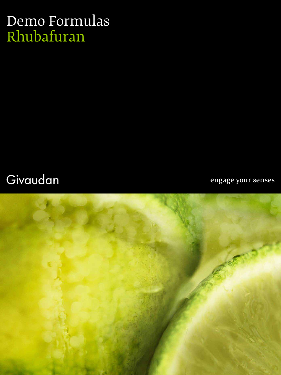## Demo Formulas Rhubafuran

### Givaudan

engage your senses

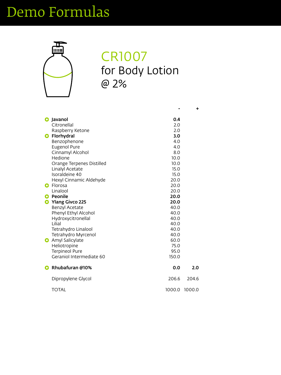# Demo Formulas



#### CR1007 for Body Lotion @ 2%

| <b>G</b> Javanol          | 0.4  |
|---------------------------|------|
| Citronellal               | 2.0  |
| Raspberry Ketone          | 2.0  |
| <b>G</b> Florhydral       | 3.0  |
| Benzophenone              | 4.0  |
| <b>Eugenol Pure</b>       | 4.0  |
| <b>Cinnamyl Alcohol</b>   | 8.0  |
| Hedione                   | 10.0 |
| Orange Ternenes Distilled | 10 በ |

|                          | 10.0                                                                                                                                                                                                                                                             |                  |
|--------------------------|------------------------------------------------------------------------------------------------------------------------------------------------------------------------------------------------------------------------------------------------------------------|------------------|
| <b>Linalyl Acetate</b>   | 15.0                                                                                                                                                                                                                                                             |                  |
| Isoraldeine 40           | 15.0                                                                                                                                                                                                                                                             |                  |
| Hexyl Cinnamic Aldehyde  | 20.0                                                                                                                                                                                                                                                             |                  |
| <b>e</b> Florosa         | 20.0                                                                                                                                                                                                                                                             |                  |
| Linalool                 | 20.0                                                                                                                                                                                                                                                             |                  |
| <b>Peonile</b>           | 20.0                                                                                                                                                                                                                                                             |                  |
|                          | 20.0                                                                                                                                                                                                                                                             |                  |
|                          | 40.0                                                                                                                                                                                                                                                             |                  |
|                          | 40.0                                                                                                                                                                                                                                                             |                  |
|                          | 40.0                                                                                                                                                                                                                                                             |                  |
| Lilial                   | 40.0                                                                                                                                                                                                                                                             |                  |
|                          | 40.0                                                                                                                                                                                                                                                             |                  |
|                          | 40.0                                                                                                                                                                                                                                                             |                  |
|                          | 60.0                                                                                                                                                                                                                                                             |                  |
|                          | 75.0                                                                                                                                                                                                                                                             |                  |
|                          | 95.0                                                                                                                                                                                                                                                             |                  |
| Geraniol Intermediate 60 | 150.0                                                                                                                                                                                                                                                            |                  |
| <b>Rhubafuran @10%</b>   | 0.0                                                                                                                                                                                                                                                              | 2.0 <sub>1</sub> |
|                          |                                                                                                                                                                                                                                                                  |                  |
| Dipropylene Glycol       | 206.6                                                                                                                                                                                                                                                            | 204.6            |
| <b>TOTAL</b>             | 1000.0                                                                                                                                                                                                                                                           | 1000.0           |
|                          | Orange Terpenes Distilled<br><b>Ylang Givco 225</b><br><b>Benzyl Acetate</b><br><b>Phenyl Ethyl Alcohol</b><br>Hydroxycitronellal<br>Tetrahydro Linalool<br><b>Tetrahydro Myrcenol</b><br><b>Amyl Salicylate</b><br><b>Heliotropine</b><br><b>Terpineol Pure</b> |                  |

**+**

**-**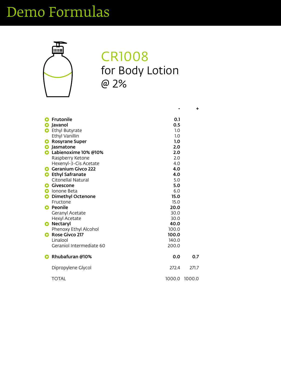# Demo Formulas



#### CR1008 for Body Lotion @ 2%

|           | <b>G</b> Frutonile       | 0.1              |
|-----------|--------------------------|------------------|
| $\bullet$ | Javanol                  | 0.5              |
|           | <b>G</b> Ethyl Butyrate  | 1.0              |
|           | Ethyl Vanillin           | 1.0              |
|           | <b>G</b> Rosyrane Super  | 1.0              |
|           | <b>G</b> Jasmatone       | 2.0              |
|           | G Labienoxime 10% @10%   | 2.0              |
|           | Raspberry Ketone         | 2.0              |
|           | $Hayanul.$ ? Cic Acatata | $\Lambda$ $\cap$ |

|           | Hexenyl-3-Cis Acetate        | 4.0         |               |
|-----------|------------------------------|-------------|---------------|
| G         | <b>Geranium Givco 222</b>    | 4.0         |               |
| G         | <b>Ethyl Safranate</b>       | 4.0         |               |
|           | <b>Citonellal Natural</b>    | 5.0         |               |
| G         | <b>Givescone</b>             | 5.0         |               |
| G         | Ionone Beta                  | 6.0         |               |
| G         | <b>Dimethyl Octenone</b>     | <b>15.0</b> |               |
|           | Fructone                     | 15.0        |               |
| G         | <b>Peonile</b>               | 20.0        |               |
|           | <b>Geranyl Acetate</b>       | 30.0        |               |
|           | <b>Hexyl Acetate</b>         | 30.0        |               |
| $\bullet$ | <b>Nectaryl</b>              | 40.0        |               |
|           | <b>Phenoxy Ethyl Alcohol</b> | 100.0       |               |
| G         | <b>Rose Givco 217</b>        | 100.0       |               |
|           | Linalool                     | 140.0       |               |
|           | Geraniol Intermediate 60     | 200.0       |               |
| $\Theta$  | Rhubafuran @10%              | 0.0         | 0.7           |
|           | Dipropylene Glycol           | 272.4       | 271.7         |
|           | <b>TOTAL</b>                 |             | 1000.0 1000.0 |

**+**

**-**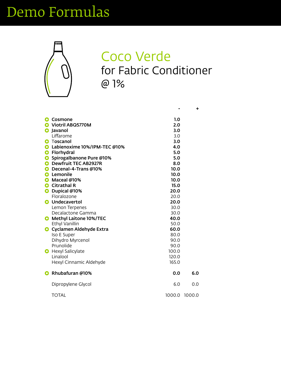## Demo Formulas



### Coco Verde for Fabric Conditioner @ 1%

| <b>G</b> Cosmone                      | 1.0 |
|---------------------------------------|-----|
| C Viotril ABQ5770M                    | 2.0 |
| <b>G</b> Javanol                      | 3.0 |
| Liffarome                             | 3.0 |
| <b>G</b> Toscanol                     | 3.0 |
| <b>G</b> Labienoxime 10%/IPM-TEC @10% | 4.0 |
| <b>G</b> Florhydral                   | 5.0 |
| G Spirogalbanone Pure @10%            | 5.0 |
| <b>C.</b> Dewfruit TFC AR7977R        | R O |

| G         | <b>Dewfruit TEC AB2927R</b>     | 8.0    |        |
|-----------|---------------------------------|--------|--------|
|           | Decenal-4-Trans @10%            | 10.0   |        |
|           | Lemonile                        | 10.0   |        |
|           | Maceal @10%                     | 10.0   |        |
|           | <b>Citrathal R</b>              | 15.0   |        |
|           | Dupical @10%                    | 20.0   |        |
|           | Floralozone                     | 20.0   |        |
|           | <b>G</b> Undecavertol           | 20.0   |        |
|           | Lemon Terpenes                  | 30.0   |        |
|           | Decalactone Gamma               | 30.0   |        |
|           | <b>G</b> Methyl Laitone 10%/TEC | 40.0   |        |
|           | <b>Ethyl Vanillin</b>           | 50.0   |        |
| $\bullet$ | Cyclamen Aldehyde Extra         | 60.0   |        |
|           | <b>Iso E Super</b>              | 80.0   |        |
|           | Dihydro Myrcenol                | 90.0   |        |
|           | Prunolide                       | 90.0   |        |
| $\bullet$ | <b>Hexyl Salicylate</b>         | 100.0  |        |
|           | Linalool                        | 120.0  |        |
|           | Hexyl Cinnamic Aldehyde         | 165.0  |        |
|           | <b>Rhubafuran @10%</b>          | 0.0    | 6.0    |
|           | Dipropylene Glycol              | 6.0    | 0.0    |
|           | <b>TOTAL</b>                    | 1000.0 | 1000.0 |

**+**

**-**